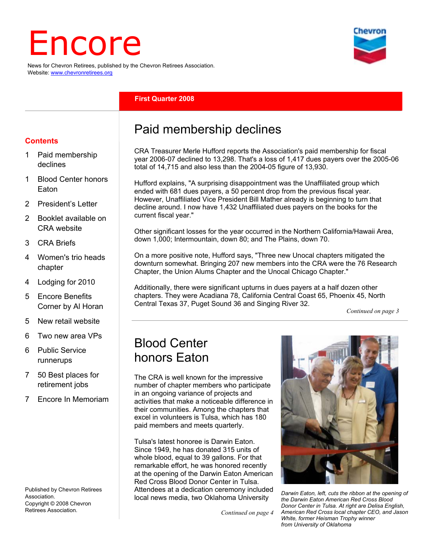# Encore

News for Chevron Retirees, published by the Chevron Retirees Association. Website: www.chevronretirees.org

#### **First Quarter 2008**

#### **Contents**

- 1 Paid membership declines
- 1 Blood Center honors Eaton
- 2 President's Letter
- 2 Booklet available on CRA website
- 3 CRA Briefs
- 4 Women's trio heads chapter
- 4 Lodging for 2010
- 5 Encore Benefits Corner by Al Horan
- 5 New retail website
- 6 Two new area VPs
- 6 Public Service runnerups
- 7 50 Best places for retirement jobs
- 7 Encore In Memoriam

Published by Chevron Retirees **Association** Copyright © 2008 Chevron Retirees Association.

## Paid membership declines

CRA Treasurer Merle Hufford reports the Association's paid membership for fiscal year 2006-07 declined to 13,298. That's a loss of 1,417 dues payers over the 2005-06 total of 14,715 and also less than the 2004-05 figure of 13,930.

Hufford explains, "A surprising disappointment was the Unaffiliated group which ended with 681 dues payers, a 50 percent drop from the previous fiscal year. However, Unaffiliated Vice President Bill Mather already is beginning to turn that decline around. I now have 1,432 Unaffiliated dues payers on the books for the current fiscal year."

Other significant losses for the year occurred in the Northern California/Hawaii Area, down 1,000; Intermountain, down 80; and The Plains, down 70.

On a more positive note, Hufford says, "Three new Unocal chapters mitigated the downturn somewhat. Bringing 207 new members into the CRA were the 76 Research Chapter, the Union Alums Chapter and the Unocal Chicago Chapter."

Additionally, there were significant upturns in dues payers at a half dozen other chapters. They were Acadiana 78, California Central Coast 65, Phoenix 45, North Central Texas 37, Puget Sound 36 and Singing River 32.

*Continued on page 3*

## Blood Center honors Eaton

The CRA is well known for the impressive number of chapter members who participate in an ongoing variance of projects and activities that make a noticeable difference in their communities. Among the chapters that excel in volunteers is Tulsa, which has 180 paid members and meets quarterly.

Tulsa's latest honoree is Darwin Eaton. Since 1949, he has donated 315 units of whole blood, equal to 39 gallons. For that remarkable effort, he was honored recently at the opening of the Darwin Eaton American Red Cross Blood Donor Center in Tulsa. Attendees at a dedication ceremony included local news media, two Oklahoma University

*Continued on page 4*



*Darwin Eaton, left, cuts the ribbon at the opening of the Darwin Eaton American Red Cross Blood Donor Center in Tulsa. At right are Delisa English, American Red Cross local chapter CEO, and Jason White, former Heisman Trophy winner from University of Oklahoma* 

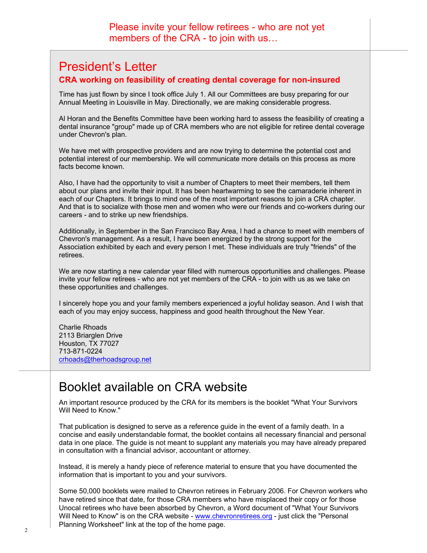## President's Letter

#### **CRA working on feasibility of creating dental coverage for non-insured**

Time has just flown by since I took office July 1. All our Committees are busy preparing for our Annual Meeting in Louisville in May. Directionally, we are making considerable progress.

Al Horan and the Benefits Committee have been working hard to assess the feasibility of creating a dental insurance "group" made up of CRA members who are not eligible for retiree dental coverage under Chevron's plan.

We have met with prospective providers and are now trying to determine the potential cost and potential interest of our membership. We will communicate more details on this process as more facts become known.

Also, I have had the opportunity to visit a number of Chapters to meet their members, tell them about our plans and invite their input. It has been heartwarming to see the camaraderie inherent in each of our Chapters. It brings to mind one of the most important reasons to join a CRA chapter. And that is to socialize with those men and women who were our friends and co-workers during our careers - and to strike up new friendships.

Additionally, in September in the San Francisco Bay Area, I had a chance to meet with members of Chevron's management. As a result, I have been energized by the strong support for the Association exhibited by each and every person I met. These individuals are truly "friends" of the retirees.

We are now starting a new calendar year filled with numerous opportunities and challenges. Please invite your fellow retirees - who are not yet members of the CRA - to join with us as we take on these opportunities and challenges.

I sincerely hope you and your family members experienced a joyful holiday season. And I wish that each of you may enjoy success, happiness and good health throughout the New Year.

Charlie Rhoads 2113 Briarglen Drive Houston, TX 77027 713-871-0224 crhoads@therhoadsgroup.net

## Booklet available on CRA website

An important resource produced by the CRA for its members is the booklet "What Your Survivors Will Need to Know."

That publication is designed to serve as a reference guide in the event of a family death. In a concise and easily understandable format, the booklet contains all necessary financial and personal data in one place. The guide is not meant to supplant any materials you may have already prepared in consultation with a financial advisor, accountant or attorney.

Instead, it is merely a handy piece of reference material to ensure that you have documented the information that is important to you and your survivors.

Some 50,000 booklets were mailed to Chevron retirees in February 2006. For Chevron workers who have retired since that date, for those CRA members who have misplaced their copy or for those Unocal retirees who have been absorbed by Chevron, a Word document of "What Your Survivors Will Need to Know" is on the CRA website - www.chevronretirees.org - just click the "Personal Planning Worksheet" link at the top of the home page.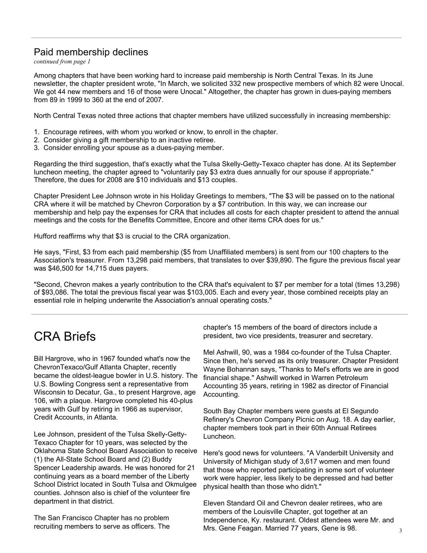### Paid membership declines

*continued from page 1*

Among chapters that have been working hard to increase paid membership is North Central Texas. In its June newsletter, the chapter president wrote, "In March, we solicited 332 new prospective members of which 82 were Unocal. We got 44 new members and 16 of those were Unocal." Altogether, the chapter has grown in dues-paying members from 89 in 1999 to 360 at the end of 2007.

North Central Texas noted three actions that chapter members have utilized successfully in increasing membership:

- 1. Encourage retirees, with whom you worked or know, to enroll in the chapter.
- 2. Consider giving a gift membership to an inactive retiree.
- 3. Consider enrolling your spouse as a dues-paying member.

Regarding the third suggestion, that's exactly what the Tulsa Skelly-Getty-Texaco chapter has done. At its September luncheon meeting, the chapter agreed to "voluntarily pay \$3 extra dues annually for our spouse if appropriate." Therefore, the dues for 2008 are \$10 individuals and \$13 couples.

Chapter President Lee Johnson wrote in his Holiday Greetings to members, "The \$3 will be passed on to the national CRA where it will be matched by Chevron Corporation by a \$7 contribution. In this way, we can increase our membership and help pay the expenses for CRA that includes all costs for each chapter president to attend the annual meetings and the costs for the Benefits Committee, Encore and other items CRA does for us."

Hufford reaffirms why that \$3 is crucial to the CRA organization.

He says, "First, \$3 from each paid membership (\$5 from Unaffiliated members) is sent from our 100 chapters to the Association's treasurer. From 13,298 paid members, that translates to over \$39,890. The figure the previous fiscal year was \$46,500 for 14,715 dues payers.

"Second, Chevron makes a yearly contribution to the CRA that's equivalent to \$7 per member for a total (times 13,298) of \$93,086. The total the previous fiscal year was \$103,005. Each and every year, those combined receipts play an essential role in helping underwrite the Association's annual operating costs."

# CRA Briefs

Bill Hargrove, who in 1967 founded what's now the ChevronTexaco/Gulf Atlanta Chapter, recently became the oldest-league bowler in U.S. history. The U.S. Bowling Congress sent a representative from Wisconsin to Decatur, Ga., to present Hargrove, age 106, with a plaque. Hargrove completed his 40-plus years with Gulf by retiring in 1966 as supervisor, Credit Accounts, in Atlanta.

Lee Johnson, president of the Tulsa Skelly-Getty-Texaco Chapter for 10 years, was selected by the Oklahoma State School Board Association to receive (1) the All-State School Board and (2) Buddy Spencer Leadership awards. He was honored for 21 continuing years as a board member of the Liberty School District located in South Tulsa and Okmulgee counties. Johnson also is chief of the volunteer fire department in that district.

The San Francisco Chapter has no problem recruiting members to serve as officers. The chapter's 15 members of the board of directors include a president, two vice presidents, treasurer and secretary.

Mel Ashwill, 90, was a 1984 co-founder of the Tulsa Chapter. Since then, he's served as its only treasurer. Chapter President Wayne Bohannan says, "Thanks to Mel's efforts we are in good financial shape." Ashwill worked in Warren Petroleum Accounting 35 years, retiring in 1982 as director of Financial Accounting.

South Bay Chapter members were guests at El Segundo Refinery's Chevron Company Picnic on Aug. 18. A day earlier, chapter members took part in their 60th Annual Retirees Luncheon.

Here's good news for volunteers. "A Vanderbilt University and University of Michigan study of 3,617 women and men found that those who reported participating in some sort of volunteer work were happier, less likely to be depressed and had better physical health than those who didn't."

Eleven Standard Oil and Chevron dealer retirees, who are members of the Louisville Chapter, got together at an Independence, Ky. restaurant. Oldest attendees were Mr. and Mrs. Gene Feagan. Married 77 years, Gene is 98.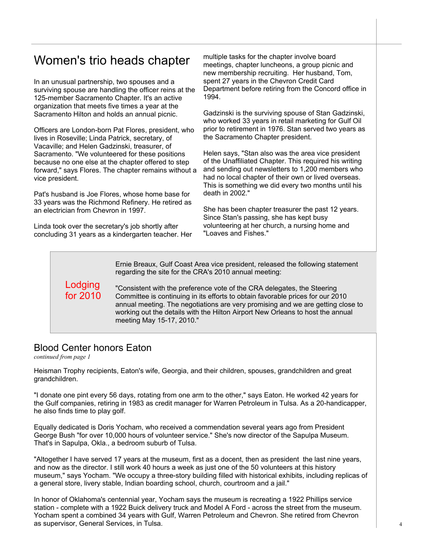## Women's trio heads chapter multiple tasks for the chapter involve board

In an unusual partnership, two spouses and a surviving spouse are handling the officer reins at the 125-member Sacramento Chapter. It's an active organization that meets five times a year at the Sacramento Hilton and holds an annual picnic.

Officers are London-born Pat Flores, president, who lives in Roseville; Linda Patrick, secretary, of Vacaville; and Helen Gadzinski, treasurer, of Sacramento. "We volunteered for these positions because no one else at the chapter offered to step forward," says Flores. The chapter remains without a vice president.

Pat's husband is Joe Flores, whose home base for 33 years was the Richmond Refinery. He retired as an electrician from Chevron in 1997.

Linda took over the secretary's job shortly after concluding 31 years as a kindergarten teacher. Her meetings, chapter luncheons, a group picnic and new membership recruiting. Her husband, Tom, spent 27 years in the Chevron Credit Card Department before retiring from the Concord office in 1994.

Gadzinski is the surviving spouse of Stan Gadzinski, who worked 33 years in retail marketing for Gulf Oil prior to retirement in 1976. Stan served two years as the Sacramento Chapter president.

Helen says, "Stan also was the area vice president of the Unaffiliated Chapter. This required his writing and sending out newsletters to 1,200 members who had no local chapter of their own or lived overseas. This is something we did every two months until his death in 2002."

She has been chapter treasurer the past 12 years. Since Stan's passing, she has kept busy volunteering at her church, a nursing home and "Loaves and Fishes."

Ernie Breaux, Gulf Coast Area vice president, released the following statement regarding the site for the CRA's 2010 annual meeting:

Lodging for 2010

"Consistent with the preference vote of the CRA delegates, the Steering Committee is continuing in its efforts to obtain favorable prices for our 2010 annual meeting. The negotiations are very promising and we are getting close to working out the details with the Hilton Airport New Orleans to host the annual meeting May 15-17, 2010."

## Blood Center honors Eaton

*continued from page 1*

Heisman Trophy recipients, Eaton's wife, Georgia, and their children, spouses, grandchildren and great grandchildren.

"I donate one pint every 56 days, rotating from one arm to the other," says Eaton. He worked 42 years for the Gulf companies, retiring in 1983 as credit manager for Warren Petroleum in Tulsa. As a 20-handicapper, he also finds time to play golf.

Equally dedicated is Doris Yocham, who received a commendation several years ago from President George Bush "for over 10,000 hours of volunteer service." She's now director of the Sapulpa Museum. That's in Sapulpa, Okla., a bedroom suburb of Tulsa.

"Altogether I have served 17 years at the museum, first as a docent, then as president the last nine years, and now as the director. I still work 40 hours a week as just one of the 50 volunteers at this history museum," says Yocham. "We occupy a three-story building filled with historical exhibits, including replicas of a general store, livery stable, Indian boarding school, church, courtroom and a jail."

In honor of Oklahoma's centennial year, Yocham says the museum is recreating a 1922 Phillips service station - complete with a 1922 Buick delivery truck and Model A Ford - across the street from the museum. Yocham spent a combined 34 years with Gulf, Warren Petroleum and Chevron. She retired from Chevron as supervisor, General Services, in Tulsa.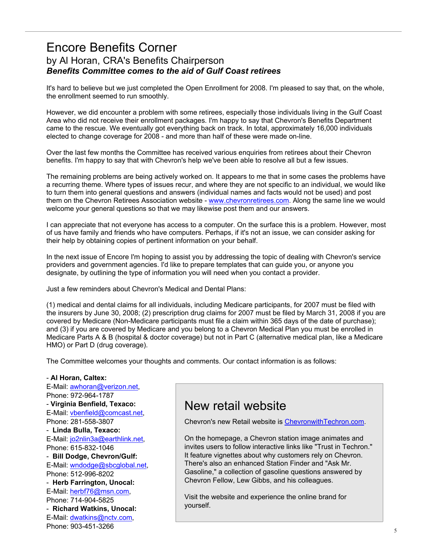## Encore Benefits Corner by Al Horan, CRA's Benefits Chairperson *Benefits Committee comes to the aid of Gulf Coast retirees*

It's hard to believe but we just completed the Open Enrollment for 2008. I'm pleased to say that, on the whole, the enrollment seemed to run smoothly.

However, we did encounter a problem with some retirees, especially those individuals living in the Gulf Coast Area who did not receive their enrollment packages. I'm happy to say that Chevron's Benefits Department came to the rescue. We eventually got everything back on track. In total, approximately 16,000 individuals elected to change coverage for 2008 - and more than half of these were made on-line.

Over the last few months the Committee has received various enquiries from retirees about their Chevron benefits. I'm happy to say that with Chevron's help we've been able to resolve all but a few issues.

The remaining problems are being actively worked on. It appears to me that in some cases the problems have a recurring theme. Where types of issues recur, and where they are not specific to an individual, we would like to turn them into general questions and answers (individual names and facts would not be used) and post them on the Chevron Retirees Association website - www.chevronretirees.com. Along the same line we would welcome your general questions so that we may likewise post them and our answers.

I can appreciate that not everyone has access to a computer. On the surface this is a problem. However, most of us have family and friends who have computers. Perhaps, if it's not an issue, we can consider asking for their help by obtaining copies of pertinent information on your behalf.

In the next issue of Encore I'm hoping to assist you by addressing the topic of dealing with Chevron's service providers and government agencies. I'd like to prepare templates that can guide you, or anyone you designate, by outlining the type of information you will need when you contact a provider.

Just a few reminders about Chevron's Medical and Dental Plans:

(1) medical and dental claims for all individuals, including Medicare participants, for 2007 must be filed with the insurers by June 30, 2008; (2) prescription drug claims for 2007 must be filed by March 31, 2008 if you are covered by Medicare (Non-Medicare participants must file a claim within 365 days of the date of purchase); and (3) if you are covered by Medicare and you belong to a Chevron Medical Plan you must be enrolled in Medicare Parts A & B (hospital & doctor coverage) but not in Part C (alternative medical plan, like a Medicare HMO) or Part D (drug coverage).

The Committee welcomes your thoughts and comments. Our contact information is as follows:

#### - **Al Horan, Caltex:**

 5 E-Mail: awhoran@verizon.net, Phone: 972-964-1787 - **Virginia Benfield, Texaco:** E-Mail: vbenfield@comcast.net, Phone: 281-558-3807 - **Linda Bulla, Texaco:** E-Mail: jo2nlin3a@earthlink.net, Phone: 615-832-1046 - **Bill Dodge, Chevron/Gulf:**  E-Mail: wndodge@sbcglobal.net, Phone: 512-996-8202 - **Herb Farrington, Unocal:** E-Mail: herbf76@msn.com, Phone: 714-904-5825 - **Richard Watkins, Unocal:** E-Mail: dwatkins@nctv.com, Phone: 903-451-3266

## New retail website

Chevron's new Retail website is ChevronwithTechron.com.

On the homepage, a Chevron station image animates and invites users to follow interactive links like "Trust in Techron." It feature vignettes about why customers rely on Chevron. There's also an enhanced Station Finder and "Ask Mr. Gasoline," a collection of gasoline questions answered by Chevron Fellow, Lew Gibbs, and his colleagues.

Visit the website and experience the online brand for yourself.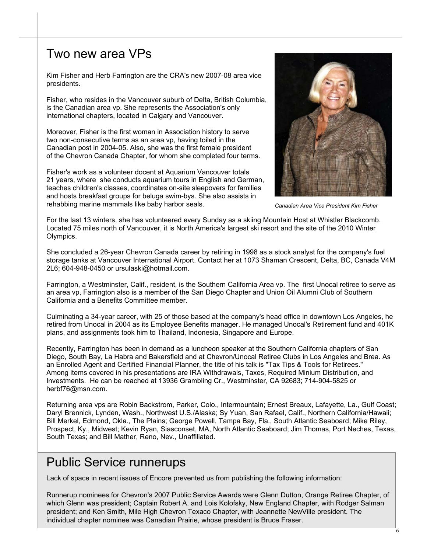## Two new area VPs

Kim Fisher and Herb Farrington are the CRA's new 2007-08 area vice presidents.

Fisher, who resides in the Vancouver suburb of Delta, British Columbia, is the Canadian area vp. She represents the Association's only international chapters, located in Calgary and Vancouver.

Moreover, Fisher is the first woman in Association history to serve two non-consecutive terms as an area vp, having toiled in the Canadian post in 2004-05. Also, she was the first female president of the Chevron Canada Chapter, for whom she completed four terms.

Fisher's work as a volunteer docent at Aquarium Vancouver totals 21 years, where she conducts aquarium tours in English and German, teaches children's classes, coordinates on-site sleepovers for families and hosts breakfast groups for beluga swim-bys. She also assists in rehabbing marine mammals like baby harbor seals.



*Canadian Area Vice President Kim Fisher* 

For the last 13 winters, she has volunteered every Sunday as a skiing Mountain Host at Whistler Blackcomb. Located 75 miles north of Vancouver, it is North America's largest ski resort and the site of the 2010 Winter Olympics.

She concluded a 26-year Chevron Canada career by retiring in 1998 as a stock analyst for the company's fuel storage tanks at Vancouver International Airport. Contact her at 1073 Shaman Crescent, Delta, BC, Canada V4M 2L6; 604-948-0450 or ursulaski@hotmail.com.

Farrington, a Westminster, Calif., resident, is the Southern California Area vp. The first Unocal retiree to serve as an area vp, Farrington also is a member of the San Diego Chapter and Union Oil Alumni Club of Southern California and a Benefits Committee member.

Culminating a 34-year career, with 25 of those based at the company's head office in downtown Los Angeles, he retired from Unocal in 2004 as its Employee Benefits manager. He managed Unocal's Retirement fund and 401K plans, and assignments took him to Thailand, Indonesia, Singapore and Europe.

Recently, Farrington has been in demand as a luncheon speaker at the Southern California chapters of San Diego, South Bay, La Habra and Bakersfield and at Chevron/Unocal Retiree Clubs in Los Angeles and Brea. As an Enrolled Agent and Certified Financial Planner, the title of his talk is "Tax Tips & Tools for Retirees." Among items covered in his presentations are IRA Withdrawals, Taxes, Required Minium Distribution, and Investments. He can be reached at 13936 Grambling Cr., Westminster, CA 92683; 714-904-5825 or herbf76@msn.com.

Returning area vps are Robin Backstrom, Parker, Colo., Intermountain; Ernest Breaux, Lafayette, La., Gulf Coast; Daryl Brennick, Lynden, Wash., Northwest U.S./Alaska; Sy Yuan, San Rafael, Calif., Northern California/Hawaii; Bill Merkel, Edmond, Okla., The Plains; George Powell, Tampa Bay, Fla., South Atlantic Seaboard; Mike Riley, Prospect, Ky., Midwest; Kevin Ryan, Siasconset, MA, North Atlantic Seaboard; Jim Thomas, Port Neches, Texas, South Texas; and Bill Mather, Reno, Nev., Unaffiliated.

## Public Service runnerups

Lack of space in recent issues of Encore prevented us from publishing the following information:

Runnerup nominees for Chevron's 2007 Public Service Awards were Glenn Dutton, Orange Retiree Chapter, of which Glenn was president; Captain Robert A. and Lois Kolofsky, New England Chapter, with Rodger Salman president; and Ken Smith, Mile High Chevron Texaco Chapter, with Jeannette NewVille president. The individual chapter nominee was Canadian Prairie, whose president is Bruce Fraser.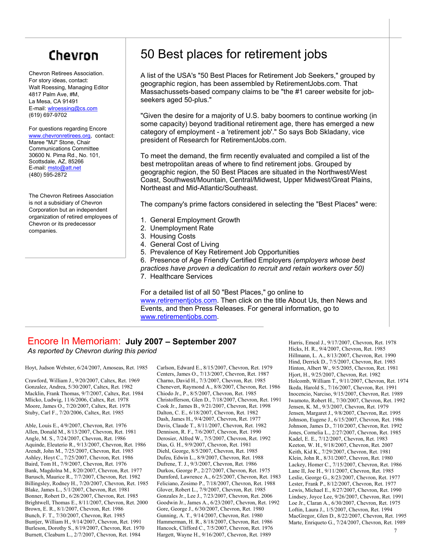# Chevron

Chevron Retirees Association. For story ideas, contact: Walt Roessing, Managing Editor 4817 Palm Ave, #M, La Mesa, CA 91491 E-mail: wlroessing@cs.com (619) 697-9702

For questions regarding Encore www.chevronretirees.org, contact: Maree "MJ" Stone, Chair Communications Committee 30600 N. Pima Rd., No. 101, Scottsdale, AZ, 85266 E-mail: msto@att.net (480) 595-2872

The Chevron Retirees Association is not a subsidiary of Chevron Corporation but an independent organization of retired employees of Chevron or its predecessor companies.

## 50 Best places for retirement jobs

A list of the USA's "50 Best Places for Retirement Job Seekers," grouped by geographic region, has been assembled by RetirementJobs.com. That Massachussets-based company claims to be "the #1 career website for jobseekers aged 50-plus."

"Given the desire for a majority of U.S. baby boomers to continue working (in some capacity) beyond traditional retirement age, there has emerged a new category of employment - a 'retirement job'." So says Bob Skladany, vice president of Research for RetirementJobs.com.

To meet the demand, the firm recently evaluated and compiled a list of the best metropolitan areas of where to find retirement jobs. Grouped by geographic region, the 50 Best Places are situated in the Northwest/West Coast, Southwest/Mountain, Central/Midwest, Upper Midwest/Great Plains, Northeast and Mid-Atlantic/Southeast.

The company's prime factors considered in selecting the "Best Places" were:

- 1. General Employment Growth
- 2. Unemployment Rate
- 3. Housing Costs
- 4. General Cost of Living
- 5. Prevalence of Key Retirement Job Opportunities

6. Presence of Age Friendly Certified Employers *(employers whose best practices have proven a dedication to recruit and retain workers over 50)*  7. Healthcare Services

For a detailed list of all 50 "Best Places," go online to www.retirementjobs.com. Then click on the title About Us, then News and Events, and then Press Releases. For general information, go to www.retirementjobs.com.

#### Encore In Memoriam: **July 2007 – September 2007**  *As reported by Chevron during this period*

Hoyt, Judson Webster, 6/24/2007, Amoseas, Ret. 1985

Crawford, William J., 9/20/2007, Caltex, Ret. 1969 Gonzalez, Andrea, 5/30/2007, Caltex, Ret. 1982 Macklin, Frank Thomas, 9/7/2007, Caltex, Ret. 1984 Mlicko, Ludwig, 11/6/2006, Caltex, Ret. 1978 Moore, James O., 7/20/2007, Caltex, Ret. 1978 Stuby, Carl F., 7/20/2006, Caltex, Ret. 1985

Able, Louis E., 4/9/2007, Chevron, Ret. 1976 Allen, Donald M., 8/13/2007, Chevron, Ret. 1981 Angle, M. S., 7/24/2007, Chevron, Ret. 1986 Aquinde, Eleuterio R., 9/13/2007, Chevron, Ret. 1986 Arendt, John M., 7/25/2007, Chevron, Ret. 1985 Ashley, Hoyt C., 7/25/2007, Chevron, Ret. 1986 Baird, Tom H., 7/9/2007, Chevron, Ret. 1976 Bank, Magdolna M., 8/20/2007, Chevron, Ret. 1977 Barusch, Maurice R., 7/7/2007, Chevron, Ret. 1982 Billingsley, Rodney H., 7/20/2007, Chevron, Ret. 1985 Blake, James L., 5/1/2007, Chevron, Ret. 1981 Bonner, Robert D., 6/28/2007, Chevron, Ret. 1985 Brightwell, Thomas E., 8/11/2007, Chevron, Ret. 2000 Brown, E. R., 8/1/2007, Chevron, Ret. 1986 Bunch, F. T., 7/30/2007, Chevron, Ret. 1985 Buntjer, William H., 9/14/2007, Chevron, Ret. 1991 Burleson, Dorothy S., 8/19/2007, Chevron, Ret. 1970 Burnett, Cleaburn L., 2/7/2007, Chevron, Ret. 1984

Carlson, Edward E., 8/15/2007, Chevron, Ret. 1979 Centers, James O., 7/13/2007, Chevron, Ret. 1987 Charno, David H., 7/3/2007, Chevron, Ret. 1985 Chenevert, Raymond A., 8/8/2007, Chevron, Ret. 1986 Chiodo Jr., P., 8/5/2007, Chevron, Ret. 1985 Christofferson, Glen D., 7/18/2007, Chevron, Ret. 1991 Cook Jr., James B., 9/21/2007, Chevron, Ret. 1998 Dalton, C. E., 6/18/2007, Chevron, Ret. 1982 Dash, James H., 9/4/2007, Chevron, Ret. 1977 Davis, Claude T., 8/11/2007, Chevron, Ret. 1982 Dennison, R. F., 7/6/2007, Chevron, Ret. 1990 Derosier, Alfred W., 7/5/2007, Chevron, Ret. 1992 Dias, G. H., 9/9/2007, Chevron, Ret. 1981 Diehl, George, 8/5/2007, Chevron, Ret. 1985 Dufeu, Edwin L., 8/9/2007, Chevron, Ret. 1988 Dufrene, T. J., 9/3/2007, Chevron, Ret. 1986 Durkos, George P., 2/27/2007, Chevron, Ret. 1975 Durnford, Lawrence A., 6/25/2007, Chevron, Ret. 1983 Feliciano, Zosimo P., 7/18/2007, Chevron, Ret. 1988 Glover, Robert L., 7/9/2007, Chevron, Ret. 1985 Gonzales Jr., Lee J., 7/23/2007, Chevron, Ret. 2006 Goodwin Jr., James A., 6/23/2007, Chevron, Ret. 1992 Gore, George J., 6/30/2007, Chevron, Ret. 1980 Gunning, A. T., 9/14/2007, Chevron, Ret. 1980 Hammerman, H. R., 8/18/2007, Chevron, Ret. 1986 Hancock, Clifford C., 7/5/2007, Chevron, Ret. 1976 Hargett, Wayne H., 9/16/2007, Chevron, Ret. 1989

Harris, Emeal J., 9/17/2007, Chevron, Ret. 1978 Hicks, H. R., 9/4/2007, Chevron, Ret. 1985 Hillmann, L. A., 8/13/2007, Chevron, Ret. 1990 Hind, Derrick D., 7/5/2007, Chevron, Ret. 1985 Hinton, Albert W., 9/5/2005, Chevron, Ret. 1981 Hjort, H., 9/25/2007, Chevron, Ret. 1982 Holcomb, William T., 9/11/2007, Chevron, Ret. 1974 Ikeda, Harold S., 7/16/2007, Chevron, Ret. 1991 Inocencio, Narciso, 9/15/2007, Chevron, Ret. 1989 Iwamoto, Robert H., 7/30/2007, Chevron, Ret. 1992 Jensen, K. M., 9/3/2007, Chevron, Ret. 1979 Jensen, Margaret J., 9/8/2007, Chevron, Ret. 1995 Johnson, Eugene J., 6/15/2007, Chevron, Ret. 1986 Johnson, James D., 7/10/2007, Chevron, Ret. 1992 Jones, Cornelia L., 2/27/2007, Chevron, Ret. 1985 Kadel, E. E., 7/12/2007, Chevron, Ret. 1983 Keeton, W. H., 9/18/2007, Chevron, Ret. 2007 Keith, Kid K., 7/29/2007, Chevron, Ret. 1981 Klein, John R., 8/31/2007, Chevron, Ret. 1980 Lackey, Homer C., 7/15/2007, Chevron, Ret. 1986 Lane II, Joe H., 9/11/2007, Chevron, Ret. 1985 Leslie, George G., 8/23/2007, Chevron, Ret. 1977 Lester, Frank P., 8/12/2007, Chevron, Ret. 1977 Lewis, Michael E., 8/27/2007, Chevron, Ret. 1990 Lindsey, Joyce Lee, 9/26/2007, Chevron, Ret. 1991 Loe Jr., Claran A., 6/30/2007, Chevron, Ret. 1975 Loftin, Laura J., 1/5/2007, Chevron, Ret. 1994 MacGregor, Glen D., 8/22/2007, Chevron, Ret. 1995 Marte, Enriqueto G., 7/24/2007, Chevron, Ret. 1989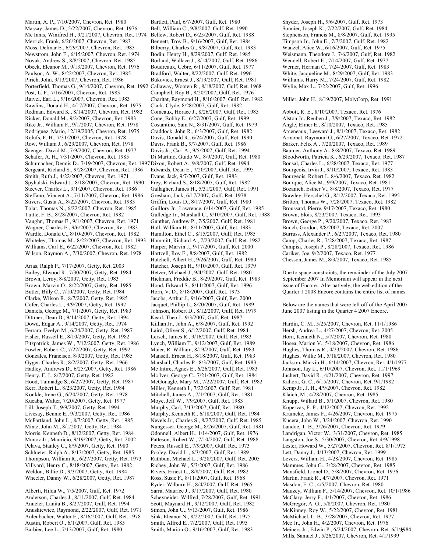Martin, A. P., 7/10/2007, Chevron, Ret. 1980 Massay, James D., 5/22/2007, Chevron, Ret. 1976 Mc Innis, Winifred H., 9/21/2007, Chevron, Ret. 1974 Merrick, Frank, 6/26/2007, Chevron, Ret. 1983 Moss, Delmar E., 6/29/2007, Chevron, Ret. 1983 Newstrom, John E., 6/15/2007, Chevron, Ret. 1974 Novak, Andrew S., 8/8/2007, Chevron, Ret. 1985 Obeck, Eleanor M., 9/13/2007, Chevron, Ret. 1976 Paulson, A. W., 8/22/2007, Chevron, Ret. 1985 Pirich, John, 9/13/2007, Chevron, Ret. 1986 Porterfield, Thomas G., 9/14/2007, Chevron, Ret. 1992 Callaway, Wooten R., 8/18/2007, Gulf, Ret. 1968 Post, L. F., 7/16/2007, Chevron, Ret. 1983 Raivel, Earl L., 9/16/2007, Chevron, Ret. 1983 Rawlins, Donald H., 4/17/2007, Chevron, Ret. 1975 Redman, Edward K., 8/14/2007, Chevron, Ret. 1982 Ricker, Donald M., 9/2/2007, Chevron, Ret. 1983 Rike Jr., William F., 9/1/2007, Chevron, Ret. 1978 Rodriguez, Mario, 12/19/2005, Chevron, Ret. 1975 Rolufs, F. H., 7/31/2007, Chevron, Ret. 1978 Row, William J., 6/29/2007, Chevron, Ret. 1978 Saenger, David M., 7/9/2007, Chevron, Ret. 1977 Schafer, A. H., 7/31/2007, Chevron, Ret. 1985 Schumacher, Dennis D., 7/19/2007, Chevron, Ret. 1997 Dixon, Robert A., 9/8/2007, Gulf, Ret. 1994 Sergeant, Richard S., 9/28/2007, Chevron, Ret. 1986 Smith, Ruth J., 4/22/2007, Chevron, Ret. 1971 Spyhalski, Edward J., 8/18/2007, Chevron, Ret. 1990 Steever, Charles L., 9/1/2007, Chevron, Ret. 1986 Steffano, Vincent A., 7/11/2007, Chevron, Ret. 1986 Stivers, Gusta A., 8/22/2007, Chevron, Ret. 1983 Tolar, Thomas N., 6/22/2007, Chevron, Ret. 1985 Tuttle, F. B., 8/28/2007, Chevron, Ret. 1982 Vaughn, Thomas E., 9/1/2007, Chevron, Ret. 1971 Wagner, Charles E., 9/6/2007, Chevron, Ret. 1983 Wardle, Donald C., 8/10/2007, Chevron, Ret. 1982 Whiteley, Thomas M., 8/22/2007, Chevron, Ret. 1993 Williams, Carl E., 6/22/2007, Chevron, Ret. 1982 Wilson, Raymon A., 7/30/2007, Chevron, Ret. 1978

Arias, Ralph P., 7/17/2007, Getty, Ret. 2003 Bailey, Elwood R., 7/30/2007, Getty, Ret. 1984 Brown, Leroy, 8/8/2007, Getty, Ret. 1983 Brown, Marvin O., 8/22/2007, Getty, Ret. 1985 Butler, Billy C., 7/10/2007, Getty, Ret. 1984 Clarke, Wilson R., 8/7/2007, Getty, Ret. 1985 Cofer, Charles L., 9/9/2007, Getty, Ret. 1997 Daniels, George M., 7/1/2007, Getty, Ret. 1983 Dittmer, Dean D., 9/14/2007, Getty, Ret. 1994 Dowd, Edgar A., 9/14/2007, Getty, Ret. 1974 Ferrara, Evelyn M., 6/24/2007, Getty, Ret. 1987 Fisher, Russell E., 8/10/2007, Getty, Ret. 1982 Fitzpatrick, James W., 7/12/2007, Getty, Ret. 1986 Fowler, Robert C., 7/22/2007, Getty, Ret. 1992 Gonzales, Francisco, 8/9/2007, Getty, Ret. 1985 Gyger, Charles R., 8/2/2007, Getty, Ret. 1966 Hadley, Andrews D., 6/25/2007, Getty, Ret. 1986 Henry, F. J., 8/7/2007, Getty, Ret. 1982 Hood, Talmadge S., 6/27/2007, Getty, Ret. 1987 Kerr, Robert L., 8/23/2007, Getty, Ret. 1984 Konkle, Irene G., 6/20/2007, Getty, Ret. 1978 Kucaba, Walter, 7/20/2007, Getty, Ret. 1977 Lill, Joseph T., 9/9/2007, Getty, Ret. 1994 Livesay, Bennie E., 9/3/2007, Getty, Ret. 1986 McPartland, John L., 8/7/2007, Getty, Ret. 1985 Mintz, John M., 8/1/2007, Getty, Ret. 1984 Morris, Kenneth D., 8/12/2007, Getty, Ret. 1984 Munoz Jr., Mauricio, 9/19/2007, Getty, Ret. 2002 Pelava, Stanley C., 8/9/2007, Getty, Ret. 1980 Schlueter, Ralph A., 8/13/2007, Getty, Ret. 1985 Thompson, William R., 6/27/2007, Getty, Ret. 1973 Villyard, Henry C., 8/18/2007, Getty, Ret. 1982 Weldon, Billie D., 9/3/2007, Getty, Ret. 1984 Wheeler, Danny W., 6/28/2007, Getty, Ret. 1987

Alberti, Hilda W., 7/5/2007, Gulf, Ret. 1972 Anderson, Charles J., 8/11/2007, Gulf, Ret. 1984 Anneler, Lanita B., 8/27/2007, Gulf, Ret. 1994 Anuskiewicz, Raymond, 2/22/2007, Gulf, Ret. 1971 Aulenbacher, Walter E., 8/16/2007, Gulf, Ret. 1978 Austin, Robert O., 6/1/2007, Gulf, Ret. 1985 Barbier, Lee L., 7/13/2007, Gulf, Ret. 1980

Bartlett, Paul, 6/7/2007, Gulf, Ret. 1980 Bell, William C., 9/8/2007, Gulf, Ret. 1990 Bellew, Robert D., 6/25/2007, Gulf, Ret. 1988 Bennett, Troy B., 9/16/2007, Gulf, Ret. 1984 Bilberry, Charles G., 9/8/2007, Gulf, Ret. 1983 Bodin, Henry H., 8/29/2007, Gulf, Ret. 1985 Borland, Wallace J., 8/14/2007, Gulf, Ret. 1986 Boudreaux, Cebre, 6/11/2007, Gulf, Ret. 1977 Bradford, Walter, 8/22/2007, Gulf, Ret. 1996 Bukovics, Ernest J., 8/19/2007, Gulf, Ret. 1981 Campbell, Roy B., 8/20/2007, Gulf, Ret. 1976 Charitat, Raymond H., 8/16/2007, Gulf, Ret. 1982 Clark, Clyde, 8/28/2007, Gulf, Ret. 1982 Comeaux, Horace J., 8/26/2007, Gulf, Ret. 1985 Cone, Bobby E., 6/27/2007, Gulf, Ret. 1999 Costantino, Sam N., 8/31/2007, Gulf, Ret. 1979 Craddock, John R., 6/3/2007, Gulf, Ret. 1982 Davis, Donald R., 6/24/2007, Gulf, Ret. 1990 Davis, Frank B., 9/7/2007, Gulf, Ret. 1986 Davis Jr., Carl A., 9/5/2007, Gulf, Ret. 1994 Di Martino, Guido W., 8/9/2007, Gulf, Ret. 1980 Edwards, Dean E., 7/20/2007, Gulf, Ret. 1995 Evans, Jack, 9/7/2007, Gulf, Ret. 1983 Frey, Richard S., 8/18/2007, Gulf, Ret. 1982 Gallagher, James H., 5/31/2007, Gulf, Ret. 1991 Gresham, Jack, 6/17/2007, Gulf, Ret. 1978 Griffin, Louis D., 8/17/2007, Gulf, Ret. 1980 Guillory Jr., Lawrence, 6/14/2007, Gulf, Ret. 1985 Gulledge Jr., Marshall C., 9/10/2007, Gulf, Ret. 1988 Gunther, Andrew P., 7/5/2007, Gulf, Ret. 1981 Hall, William H., 8/11/2007, Gulf, Ret. 1983 Hamilton, Ethel C., 8/15/2007, Gulf, Ret. 1985 Hammitt, Richard A., 7/23/2007, Gulf, Ret. 1982 Harper, Marvin J., 9/17/2007, Gulf, Ret. 2000 Hartzell, Roy E., 8/8/2007, Gulf, Ret. 1982 Hatchell, Albert H., 9/26/2007, Gulf, Ret. 1980 Hatcher, Joseph H., 9/10/2007, Gulf, Ret. 1979 Hetzer, Michael J., 9/4/2007, Gulf, Ret. 1980 Hickman, Freddie B., 8/29/2007, Gulf, Ret. 1983 Hood, Edward S., 8/11/2007, Gulf, Ret. 1996 Horn, V. D., 8/18/2007, Gulf, Ret. 1973 Jacobs, Arthur J., 9/16/2007, Gulf, Ret. 2000 Jacquet, Phillip L., 8/20/2007, Gulf, Ret. 1989 Johnson, Robert D., 8/12/2007, Gulf, Ret. 1979 Kearl, Theo J., 9/3/2007, Gulf, Ret. 1987 Killian Jr., John A., 6/8/2007, Gulf, Ret. 1992 Laird, Oliver S., 6/12/2007, Gulf, Ret. 1984 Lersch, James R., 9/16/2007, Gulf, Ret. 1983 Lynch, William T., 9/12/2007, Gulf, Ret. 1989 Maier, R. William, 8/19/2007, Gulf, Ret. 1983 Mansell, Ernest H., 8/18/2007, Gulf, Ret. 1983 Marshall, Charles P., 8/3/2007, Gulf, Ret. 1983 Mc Intire, Agnes E., 6/26/2007, Gulf, Ret. 1983 Mc Iver, George C., 7/21/2007, Gulf, Ret. 1984 McGonagle, Mary M., 7/22/2007, Gulf, Ret. 1982 Miller, Kenneth I., 7/22/2007, Gulf, Ret. 1981 Mitchell, James A., 7/1/2007, Gulf, Ret. 1981 Moye, Jeff W., 7/9/2007, Gulf, Ret. 1983 Murphy, Carl, 7/13/2007, Gulf, Ret. 1980 Murphy, Kenneth R., 6/18/2007, Gulf, Ret. 1984 Nevels Jr., Charles S., 8/27/2007, Gulf, Ret. 1985 Nungesser, George M., 8/26/2007, Gulf, Ret. 1981 Odonnell, Albert H., 1/14/2007, Gulf, Ret. 1976 Patteson, Robert W., 7/10/2007, Gulf, Ret. 1988 Peters, Russell E., 7/9/2007, Gulf, Ret. 1973 Pooley, David L., 6/3/2007, Gulf, Ret. 1989 Rathbun, Michael L., 9/28/2007, Gulf, Ret. 2005 Richey, John W., 5/3/2007, Gulf, Ret. 1986 Rivers, Ernest L., 8/8/2007, Gulf, Ret. 1982 Ross, Susie F., 8/11/2007, Gulf, Ret. 1968 Ryder, Wilburn H., 8/4/2007, Gulf, Ret. 1965 Sarra, Maurice J., 9/17/2007, Gulf, Ret. 1980 Schexneider, Wilfred, 7/28/2007, Gulf, Ret. 1991 Scott, Maynard H., 9/12/2007, Gulf, Ret. 1982 Simon, John U., 9/13/2007, Gulf, Ret. 1986 Sink, Eleanor N., 8/22/2007, Gulf, Ret. 1975 Smith, Alfred E., 7/2/2007, Gulf, Ret. 1995

Snyder, Joseph H., 9/6/2007, Gulf, Ret. 1973 Sonnier, Joseph K., 7/22/2007, Gulf, Ret. 1984 Stephenson, Francis M., 8/8/2007, Gulf, Ret. 1995 Timpson Jr., John E., 7/7/2007, Gulf, Ret. 1982 Wanzel, Alice W., 6/16/2007, Gulf, Ret. 1975 Weismann, Theodore J., 7/6/2007, Gulf, Ret. 1982 Wendell, Robert E., 7/14/2007, Gulf, Ret. 1977 Werner, Herman C., 7/24/2007, Gulf, Ret. 1983 White, Jacqueline M., 8/29/2007, Gulf, Ret. 1983 Williams, Harry M., 7/24/2007, Gulf, Ret. 1982 Wylie, Max L., 7/22/2007, Gulf, Ret. 1996

#### Miller, John H., 8/19/2007, MolyCorp, Ret. 1991

Abbott, R. E., 8/10/2007, Texaco, Ret. 1976 Alston Jr., Reuben J., 7/9/2007, Texaco, Ret. 1982 Angle, Elmer E., 8/10/2007, Texaco, Ret. 1985 Arceneaux, Leeward J., 8/1/2007, Texaco, Ret. 1982 Armonat, Raymond G., 6/27/2007, Texaco, Ret. 1972 Barker, Felix A., 7/20/2007, Texaco, Ret. 1989 Baumer, Anthony A., 8/8/2007, Texaco, Ret. 1989 Bloodworth, Patricia K., 6/29/2007, Texaco, Ret. 1987 Bonsal, Charles L., 6/28/2007, Texaco, Ret. 1977 Bourgeois, Irvin J., 9/10/2007, Texaco, Ret. 1983 Bourgeois, Robert J., 8/6/2007, Texaco, Ret. 1982 Bourque, Alice M., 9/9/2007, Texaco, Ret. 1981 Bozanich, Esther V., 8/8/2007, Texaco, Ret. 1977 Brawley, Herschel G., 8/12/2007, Texaco, Ret. 1995 Britton, Thomas W., 7/28/2007, Texaco, Ret. 1982 Broussard, Pierre, 9/17/2007, Texaco, Ret. 1980 Brown, Elois, 8/23/2007, Texaco, Ret. 1993 Brown, George P., 9/20/2007, Texaco, Ret. 1983 Bunch, Gordon, 8/8/2007, Texaco, Ret. 2007 Burruss, Alexander P., 6/27/2007, Texaco, Ret. 1980 Camp, Charles R., 7/28/2007, Texaco, Ret. 1987 Campisi, Joseph P., 8/28/2007, Texaco, Ret. 1986 Cariker, Joe, 9/2/2007, Texaco, Ret. 1977 Chesson, James M., 8/3/2007, Texaco, Ret. 1985

Due to space constraints, the remainder of the July 2007 – September 2007 In Memoriam will appear in the next issue of Encore. Alternatively, the web edition of the Quarter 1 2008 Encore contains the entire list of names.

Below are the names that were left off of the April 2007 – June 2007 listing in the Quarter 4 2007 Encore.

Hardin, C. M., 5/25/2007, Chevron, Ret. 11/1/1986 Hersh, Andrea L., 4/27/2007, Chevron, Ret. 2005 Horn, Kenneth N., 5/7/2007, Chevron, Ret. 1980 Hosea, Marion V., 5/18/2007, Chevron, Ret. 1986 Hughes, Thomas R., 4/23/2007, Chevron, Ret. 1986 Hughes, Willie M., 5/18/2007, Chevron, Ret. 1980 Jackson, Marvin H., 6/14/2007, Chevron, Ret. 4/1/1977 Johnson, Jay L., 6/10/2007, Chevron, Ret. 11/1/1969 Juchert, David R., 4/21/2007, Chevron, Ret. 1997 Kahora, G. C., 6/15/2007, Chevron, Ret. 9/1/1982 Kemp Jr., J. H., 4/9/2007, Chevron, Ret. 1982 Klaich, M., 4/28/2007, Chevron, Ret. 1985 Knupp, Willard B., 5/1/2007, Chevron, Ret. 1980 Kopervas, F. P., 4/12/2007, Chevron, Ret. 1992 Krumcke, James F., 4/26/2007, Chevron, Ret. 1975 Kucera, John W., 3/24/2007, Chevron, Ret. 1990 Landoe, T. B., 3/26/2007, Chevron, Ret. 1979 Landrigan, Victor W., 3/31/2007, Chevron, Ret. 1985 Langston, Joe S., 5/30/2007, Chevron, Ret. 4/9/1998 Lester, Howard W., 5/27/2007, Chevron, Ret. 8/1/1975 Lett, Danny J., 4/13/2007, Chevron, Ret. 1999 Levers, William H., 4/28/2007, Chevron, Ret. 1985 Mammes, John G., 3/28/2007, Chevron, Ret. 1985 Mansfield, Lionel D., 5/8/2007, Chevron, Ret. 1976 Martin, Frank R., 4/7/2007, Chevron, Ret. 1971 Masdon, E. C., 4/5/2007, Chevron, Ret. 1980 Mauzey, William F., 5/14/2007, Chevron, Ret. 10/1/1986 McClary, Jerry F., 4/1/2007, Chevron, Ret. 1986 McGregor, A. G., 5/8/2007, Chevron, Ret. 1980 McKinney, Roy W., 5/22/2007, Chevron, Ret. 1981 McMichael, L. B., 3/28/2007, Chevron, Ret. 1977 Mee Jr., John H., 4/2/2007, Chevron, Ret. 1976 Smith, Marion O., 9/16/2007, Gulf, Ret. 1983 Meiners Jr., Edwin P., 6/24/2007, Chevron, Ret. 6/1/8984 Mills, Samuel J., 5/26/2007, Chevron, Ret. 4/1/1999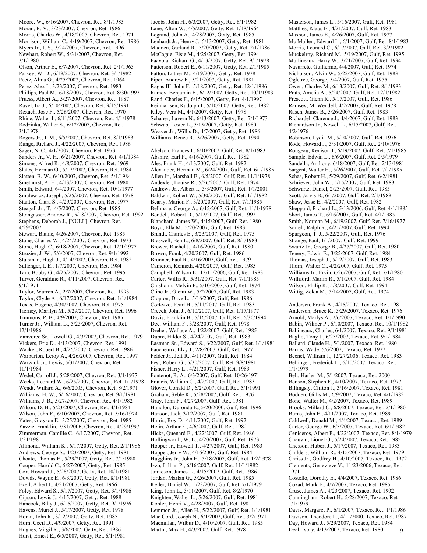Moore, W., 6/16/2007, Chevron, Ret. 8/1/1983 Moran, R. V., 3/23/2007, Chevron, Ret. 1986 Morris, Charles W., 4/18/2007, Chevron, Ret. 1971 Morrison, William C., 4/19/2007, Chevron, Ret. 1986 Myers Jr., J. S., 3/24/2007, Chevron, Ret. 1996 Newhart, Robert W., 5/31/2007, Chevron, Ret. 3/1/1980

Olson, Arthur E., 6/7/2007, Chevron, Ret. 2/1/1963 Parkey, W. D., 6/19/2007, Chevron, Ret. 3/1/1982 Peetz, Alma G., 4/25/2007, Chevron, Ret. 1964 Perez, Alex I., 3/23/2007, Chevron, Ret. 1983 Phillips, Paul M., 6/18/2007, Chevron, Ret. 8/30/1997 Pruess, Albert A., 5/27/2007, Chevron, Ret. 1987 Ravel, Ira J., 6/10/2007, Chevron, Ret. 9/16/1991 Rexach, Jose F., 5/26/2007, Chevron, Ret. 1970 Rhine, Walter I., 6/11/2007, Chevron, Ret. 4/1/1978 Rodzinka, Walter S., 6/12/2007, Chevron, Ret. 3/1/1978

Rogers Jr., J. M., 6/5/2007, Chevron, Ret. 8/1/1983 Runge, Richard J., 4/22/2007, Chevron, Ret. 1986 Sager, N. C., 4/1/2007, Chevron, Ret. 1973 Sanders Jr., V. H., 6/21/2007, Chevron, Ret. 4/1/1984 Simons, Alfred R., 4/8/2007, Chevron, Ret. 1969 Slates, Herman O., 5/17/2007, Chevron, Ret. 1984 Slatten, B. W., 6/10/2007, Chevron, Ret. 5/1/1984 Smethurst, A. H., 4/13/2007, Chevron, Ret. 1980 Smith, Edward, 6/4/2007, Chevron, Ret. 10/1/1977 Smulewicz, Joseph, 5/25/2007, Chevron, Ret. 1978 Stanton, Clara S., 4/29/2007, Chevron, Ret. 1977 Steagall Jr., T., 4/5/2007, Chevron, Ret. 1985 Steingasser, Andrew R., 5/18/2007, Chevron, Ret. 1992 Stephens, Deborah J., [NULL], Chevron, Ret. 4/29/2007

Stewart, Blaine, 4/26/2007, Chevron, Ret. 1985 Stone, Charles W., 4/24/2007, Chevron, Ret. 1973 Stone, Hugh C., 6/18/2007, Chevron, Ret. 12/1/1977 Strozier, J. W., 5/6/2007, Chevron, Ret. 9/1/1992 Stutsman, Hugh J., 4/14/2007, Chevron, Ret. 1982 Sullenger, I. E., 1/7/2007, Chevron, Ret. 1984 Tam, Bobby G., 4/25/2007, Chevron, Ret. 1995 Tarver, Geraldine R., 4/11/2007, Chevron, Ret. 9/1/1971

Taylor, Warren A., 2/7/2007, Chevron, Ret. 1993 Taylor, Clyde A., 6/17/2007, Chevron, Ret. 1/1/1984 Texas, Eugene, 4/30/2007, Chevron, Ret. 1975 Tierney, Marilyn M., 5/29/2007, Chevron, Ret. 1996 Timmons, P. B., 4/9/2007, Chevron, Ret. 1985 Turner Jr., William L., 5/25/2007, Chevron, Ret. 12/1/1986

Vanvorce Sr., Lowell G., 4/3/2007, Chevron, Ret. 1979 Vickers, Eric D., 4/13/2007, Chevron, Ret. 1991 Wacker, Robert B., 4/26/2007, Chevron, Ret. 1986 Warburton, Leroy A., 4/26/2007, Chevron, Ret. 1997 Warwick Jr., Lewis, 5/31/2007, Chevron, Ret. 11/1/1984

Wedel, Carroll J., 5/28/2007, Chevron, Ret. 3/1/1977 Weeks, Leonard W., 6/25/2007, Chevron, Ret. 1/1/1978 Wendt, Willard A., 6/6/2005, Chevron, Ret. 8/2/1971 Williams, H. W., 6/16/2007, Chevron, Ret. 9/1/1981 Williams, J. R., 5/27/2007, Chevron, Ret. 4/1/1982 Wilson, D. H., 5/23/2007, Chevron, Ret. 4/1/1984 Wilson, John F., 6/10/2007, Chevron, Ret. 5/16/1974 Yates, Grayson E., 3/25/2007, Chevron, Ret. 1985 Yazzie, Franklin, 7/31/2006, Chevron, Ret. 4/29/1997 Zimmerman, Camille C., 6/17/2007, Chevron, Ret. 1/31/1981

Allmond, William K., 6/17/2007, Getty, Ret. 2/1/1986 Andrews, George S., 4/23/2007, Getty, Ret. 1981 Choate, Thomas E., 5/29/2007, Getty, Ret. 7/1/1980 Cooper, Harold C., 5/27/2007, Getty, Ret. 1985 Cox, Howard J., 5/28/2007, Getty, Ret. 10/1/1981 Dowds, Wayne E., 6/3/2007, Getty, Ret. 8/1/1981 Ezell, Albert I., 4/21/2007, Getty, Ret. 1966 Foley, Edward S., 5/17/2007, Getty, Ret. 3/1/1986 Gipson, Lewis J., 4/15/2007, Getty, Ret. 1988 Hancock, Billy J., 6/16/2007, Getty, Ret. 9/1/1976 Havens, Muriel J., 5/17/2007, Getty, Ret. 1978 Horan, John R., 3/12/2007, Getty, Ret. 1985 Horn, Cecil D., 4/9/2007, Getty, Ret. 1991 Hughes, Virgil R., 3/6/2007, Getty, Ret. 1986 Hurst, Ernest E., 6/5/2007, Getty, Ret. 6/1/1981

Jacobs, John H., 6/3/2007, Getty, Ret. 6/1/1982 Lane, Alton W., 4/5/2007, Getty, Ret. 1/18/1964 Legrand, John A., 4/28/2007, Getty, Ret. 1985 Lenhardt Jr., Henry J., 5/13/2007, Getty, Ret. 1981 Madden, Garland R., 5/20/2007, Getty, Ret. 2/1/1986 McCague, Elsie M., 4/25/2007, Getty, Ret. 1994 Paavola, Richard G., 4/13/2007, Getty, Ret. 9/1/1978 Patterson, Robert E., 6/11/2007, Getty, Ret. 2/1/1985 Patton, Luther M., 4/19/2007, Getty, Ret. 1978 Piper, Andrew F., 5/21/2007, Getty, Ret. 1981 Ragas III, John F., 5/18/2007, Getty, Ret. 12/1/1986 Ramey, Benjamin F., 6/12/2007, Getty, Ret. 10/1/1983 Rand, Charles F., 6/15/2007, Getty, Ret. 4/1/1997 Reinhartsen, Rudolph I., 5/10/2007, Getty, Ret. 1982 Riley, Vera M., 4/1/2007, Getty, Ret. 1978 Schaner, Lavern N., 6/13/2007, Getty, Ret. 7/1/1973 Schwab, Lester L., 5/15/2007, Getty, Ret. 1980 Weaver Jr., Willis D., 4/7/2007, Getty, Ret. 1986 Williams, Renee R., 3/26/2007, Getty, Ret. 1994

Abelson, Frances I., 6/10/2007, Gulf, Ret. 8/1/1983 Abshire, Earl P., 4/16/2007, Gulf, Ret. 1982 Ales, Frank H., 4/13/2007, Gulf, Ret. 1982 Alexander, Herman M., 6/24/2007, Gulf, Ret. 6/1/1985 Allen Jr., Marshall E., 6/5/2007, Gulf, Ret. 11/1/1978 Andexler, Louise R., 5/26/2007, Gulf, Ret. 1974 Andrews Jr., Albert I., 5/3/2007, Gulf, Ret. 1/1/2001 Baldwin, Robert W., 5/30/2007, Gulf, Ret. 1/1/1982 Bearly, Marion F., 3/20/2007, Gulf, Ret. 7/1/1985 Bellmare, George A., 6/15/2007, Gulf, Ret. 11/1/1978 Bendell, Robert D., 5/12/2007, Gulf, Ret. 1992 Blanchard, James W., 4/15/2007, Gulf, Ret. 1980 Boyd, Ella M., 5/20/2007, Gulf, Ret. 1983 Brandt, Charles E., 3/23/2007, Gulf, Ret. 1975 Braswell, Ben L., 6/8/2007, Gulf, Ret. 8/1/1983 Brewer, Rachel J., 4/16/2007, Gulf, Ret. 1980 Brown, Frank, 4/20/2007, Gulf, Ret. 1986 Brunner, Paul R., 4/16/2007, Gulf, Ret. 1979 Cameron, Kenneth, 4/20/2007, Gulf, Ret. 1985 Campbell, Wilson E., 12/15/2006, Gulf, Ret. 1983 Carter, Willis R., 5/31/2007, Gulf, Ret. 7/1/1985 Chisholm, Melvin P., 5/10/2007, Gulf, Ret. 1974 Cline Jr., Glenn W., 5/2/2007, Gulf, Ret. 1983 Clopton, Dave L., 5/16/2007, Gulf, Ret. 1986 Cortezzo, Pearl H., 5/11/2007, Gulf, Ret. 1983 Creech, John J., 6/10/2007, Gulf, Ret. 1/17/1977 Davis, Franklin B., 5/16/2007, Gulf, Ret. 6/30/1994 Dee, William F., 3/28/2007, Gulf, Ret. 1978 Dreher, Wallace A., 4/22/2007, Gulf, Ret. 1985 Dupre, Hilder S., 4/24/2007, Gulf, Ret. 1983 Eastman Sr., Edward S., 6/22/2007, Gulf, Ret. 1/1/1981 Faucheaux, Elzy J., 2/8/2007, Gulf, Ret. 1977 Felder Jr., Jeff R., 4/11/2007, Gulf, Ret. 1984 Fest, Robert G., 5/30/2007, Gulf, Ret. 9/8/1981 Fisher, Harry L., 4/21/2007, Gulf, Ret. 1983 Fontenot, R. A., 6/3/2007, Gulf, Ret. 10/26/1971 Francis, William C., 4/2/2007, Gulf, Ret. 1983 Glover, Conald D., 6/2/2007, Gulf, Ret. 5/1/1991 Graham, Syble K., 5/28/2007, Gulf, Ret. 1976 Gray, John F., 4/27/2007, Gulf, Ret. 1981 Handlon, Duronda E., 5/20/2000, Gulf, Ret. 1996 Hanson, Jack, 3/12/2007, Gulf, Ret. 1981 Harris, Roy D., 4/11/2007, Gulf, Ret. 1992 Helin, Arthur F., 4/6/2007, Gulf, Ret. 1982 Hicks, Quenard E., 4/22/2007, Gulf, Ret. 1986 Hollingworth, W. L., 4/20/2007, Gulf, Ret. 1973 Hooper Jr., Howell T., 4/27/2007, Gulf, Ret. 1983 Hopper, Jerry W., 4/16/2007, Gulf, Ret. 1984 Hugghins Jr., John H., 5/18/2007, Gulf, Ret. 1/2/1978 Izzo, Lillian P., 6/16/2007, Gulf, Ret. 11/1/1982 Jamieson, James L., 4/15/2007, Gulf, Ret. 1986 Jordan, Marlan G., 5/26/2007, Gulf, Ret. 1985 Keller, Daniel W., 5/23/2007, Gulf, Ret. 7/1/1979 King, John L., 3/11/2007, Gulf, Ret. 8/2/1970 Knighten, Walter L., 5/26/2007, Gulf, Ret. 1981 Kohler, Henri V., 4/28/2007, Gulf, Ret. 1981 Lemmon Jr., Allen H., 5/22/2007, Gulf, Ret. 1/1/1981 Mac Cord, Joseph N., 6/1/2007, Gulf, Ret. 3/2/1971 Macmillan, Wilbur D., 4/10/2007, Gulf, Ret. 1985 Martin, Max H., 4/3/2007, Gulf, Ret. 1978

Masterson, James L., 5/16/2007, Gulf, Ret. 1981 Matthes, Klaus E., 4/21/2007, Gulf, Ret. 1983 Maxson, James E., 4/26/2007, Gulf, Ret. 1977 Mc Mullen, Edward L., 6/1/2007, Gulf, Ret. 8/1/1983 Morris, Leonard C., 6/17/2007, Gulf, Ret. 3/2/1982 Muckelroy, Richard M., 5/19/2007, Gulf, Ret. 1995 Mullineaux, Harry W., 3/21/2007, Gulf, Ret. 1994 Navarrete, Guillermo, 4/4/2007, Gulf, Ret. 1974 Nicholson, Alvin W., 5/22/2007, Gulf, Ret. 1983 Ogletree, George, 5/4/2007, Gulf, Ret. 1975 Owen, Charles M., 6/13/2007, Gulf, Ret. 8/1/1983 Prats, Amelia A., 5/24/2007, Gulf, Ret. 12/1/1982 Prescott, Glenn R., 5/17/2007, Gulf, Ret. 1986 Ramsey, M. Wendell, 4/2/2007, Gulf, Ret. 1978 Rasch, James B., 5/26/2007, Gulf, Ret. 1983 Richardel, Clarence J., 4/4/2007, Gulf, Ret. 1983 Richardson Jr., Newell L., 6/15/2007, Gulf, Ret. 4/2/1976

Robinson, Lydia M., 5/10/2007, Gulf, Ret. 1976 Rode, Howard J., 5/31/2007, Gulf, Ret. 2/10/1976 Rougeau, Kenison J., 6/19/2007, Gulf, Ret. 7/1/1985 Sample, Edwin L., 6/6/2007, Gulf, Ret. 2/5/1979 Sandella, Anthony, 6/18/2007, Gulf, Ret. 2/13/1981 Sargent, Walter H., 5/26/2007, Gulf, Ret. 7/1/1985 Schas, Robert H., 5/29/2007, Gulf, Ret. 6/2/1981 Schriever, John W., 5/15/2007, Gulf, Ret. 1983 Schwartz, Daniel, 2/23/2007, Gulf, Ret. 1985 Scott, Jarvis B., 6/1/2007, Gulf, Ret. 2/1/1989 Shaw, Jesse E., 4/2/2007, Gulf, Ret. 1982 Sheppard, Richard L., 5/13/2006, Gulf, Ret. 4/1/1985 Short, James T., 6/16/2007, Gulf, Ret. 4/1/1985 Smith, Norman M., 6/19/2007, Gulf, Ret. 7/16/1977 Sorrell, Ralph R., 4/21/2007, Gulf, Ret. 1994 Spurgeon, T. J., 5/22/2007, Gulf, Ret. 1976 Strange, Paul, 1/1/2007, Gulf, Ret. 1999 Swartz Jr., George B., 4/27/2007, Gulf, Ret. 1980 Tenery, Edwin E., 3/25/2007, Gulf, Ret. 1984 Thomas, Joseph J., 5/12/2007, Gulf, Ret. 1983 Thorn, Walter C., 4/2/2007, Gulf, Ret. 1975 Williams Jr., Ervin, 6/26/2007, Gulf, Ret. 7/1/1980 Williford, Marlin R., 5/1/2007, Gulf, Ret. 1984 Wilson, Philip R., 5/8/2007, Gulf, Ret. 1994 Wittig, Zelda M., 5/14/2007, Gulf, Ret. 1974

Andersen, Frank A., 4/16/2007, Texaco, Ret. 1981 Anderson, Bruce K., 3/29/2007, Texaco, Ret. 1976 Arnold, Marlys A., 2/6/2007, Texaco, Ret. 1/1/1990 Babin, Wilmer P., 6/10/2007, Texaco, Ret. 10/1/1982 Babineaux, Charles, 6/1/2007, Texaco, Ret. 9/1/1981 Baglio, Tony J., 6/25/2007, Texaco, Ret. 9/1/1984 Ballard, Claude H., 5/1/2007, Texaco, Ret. 1980 Barras, Wade, 5/6/2007, Texaco, Ret. 1977 Becnel, William J., 12/27/2006, Texaco, Ret. 1983 Bellinger, Frederick L., 6/10/2007, Texaco, Ret. 1/1/1979

Belt, Harlen M., 5/1/2007, Texaco, Ret. 2000 Benson, Stephen E., 4/10/2007, Texaco, Ret. 1977 Billingsly, Clifton J., 3/16/2007, Texaco, Ret. 1981 Bodden, Gillis M., 6/9/2007, Texaco, Ret. 4/1/1982 Bone, Walter M., 4/2/2007, Texaco, Ret. 1989 Brooks, Millard C., 6/8/2007, Texaco, Ret. 2/1/1980 Burns, John E., 4/11/2007, Texaco, Ret. 1989 Caldwell, Donald M., 4/4/2007, Texaco, Ret. 1989 Carter, George W., 6/5/2007, Texaco, Ret. 6/1/1982 Ceniceros, Albert P., 4/22/2007, Texaco, Ret. 8/1/1979 Chauvin, Lionel O., 5/24/2007, Texaco, Ret. 1985 Chesson, Hubert J., 5/17/2007, Texaco, Ret. 1983 Childers, William R., 4/15/2007, Texaco, Ret. 1979 Chriss Jr., Godfrey H., 4/10/2007, Texaco, Ret. 1972 Clements, Genevieve V., 11/23/2006, Texaco, Ret. 1971

Costello, Dorothy E., 4/4/2007, Texaco, Ret. 1986 Cozad, Mark E., 4/7/2007, Texaco, Ret. 1985 Cruse, James A., 4/23/2007, Texaco, Ret. 1992 Cunningham, Robert H., 5/28/2007, Texaco, Ret. 1/1/1979

9 Davis, Margaret P., 6/1/2007, Texaco, Ret. 1/1/1986 Davison, Theodore L., 4/11/2000, Texaco, Ret. 1987 Day, Howard J., 5/29/2007, Texaco, Ret. 1984 Deal, Ivory, 4/13/2007, Texaco, Ret. 1980